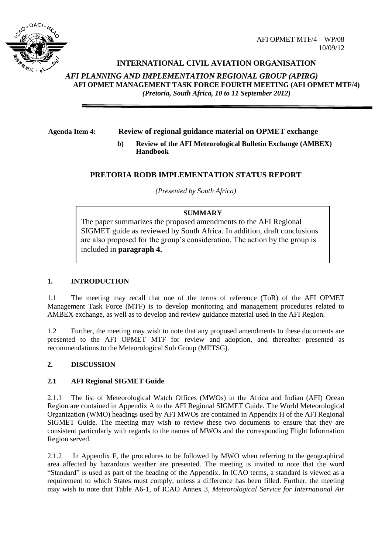

# **INTERNATIONAL CIVIL AVIATION ORGANISATION**

*AFI PLANNING AND IMPLEMENTATION REGIONAL GROUP (APIRG)* **AFI OPMET MANAGEMENT TASK FORCE FOURTH MEETING (AFI OPMET MTF/4)**  *(Pretoria, South Africa, 10 to 11 September 2012)*

## **Agenda Item 4: Review of regional guidance material on OPMET exchange**

**b) Review of the AFI Meteorological Bulletin Exchange (AMBEX) Handbook**

## **PRETORIA RODB IMPLEMENTATION STATUS REPORT**

*(Presented by South Africa)*

## **SUMMARY**

The paper summarizes the proposed amendments to the AFI Regional SIGMET guide as reviewed by South Africa. In addition, draft conclusions are also proposed for the group's consideration. The action by the group is included in **paragraph 4.**

### **1. INTRODUCTION**

1.1 The meeting may recall that one of the terms of reference (ToR) of the AFI OPMET Management Task Force (MTF) is to develop monitoring and management procedures related to AMBEX exchange, as well as to develop and review guidance material used in the AFI Region.

1.2 Further, the meeting may wish to note that any proposed amendments to these documents are presented to the AFI OPMET MTF for review and adoption, and thereafter presented as recommendations to the Meteorological Sub Group (METSG).

## **2. DISCUSSION**

## **2.1 AFI Regional SIGMET Guide**

2.1.1 The list of Meteorological Watch Offices (MWOs) in the Africa and Indian (AFI) Ocean Region are contained in Appendix A to the AFI Regional SIGMET Guide. The World Meteorological Organization (WMO) headings used by AFI MWOs are contained in Appendix H of the AFI Regional SIGMET Guide. The meeting may wish to review these two documents to ensure that they are consistent particularly with regards to the names of MWOs and the corresponding Flight Information Region served.

2.1.2 In Appendix F, the procedures to be followed by MWO when referring to the geographical area affected by hazardous weather are presented. The meeting is invited to note that the word "Standard" is used as part of the heading of the Appendix. In ICAO terms, a standard is viewed as a requirement to which States must comply, unless a difference has been filled. Further, the meeting may wish to note that Table A6-1, of ICAO Annex 3, *Meteorological Service for International Air*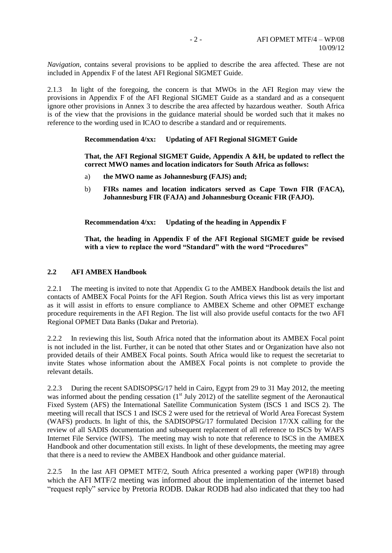*Navigation*, contains several provisions to be applied to describe the area affected. These are not included in Appendix F of the latest AFI Regional SIGMET Guide.

2.1.3 In light of the foregoing, the concern is that MWOs in the AFI Region may view the provisions in Appendix F of the AFI Regional SIGMET Guide as a standard and as a consequent ignore other provisions in Annex 3 to describe the area affected by hazardous weather. South Africa is of the view that the provisions in the guidance material should be worded such that it makes no reference to the wording used in ICAO to describe a standard and or requirements.

### **Recommendation 4/xx: Updating of AFI Regional SIGMET Guide**

**That, the AFI Regional SIGMET Guide, Appendix A &H, be updated to reflect the correct MWO names and location indicators for South Africa as follows:**

- a) **the MWO name as Johannesburg (FAJS) and;**
- b) **FIRs names and location indicators served as Cape Town FIR (FACA), Johannesburg FIR (FAJA) and Johannesburg Oceanic FIR (FAJO).**

**Recommendation 4/xx: Updating of the heading in Appendix F**

**That, the heading in Appendix F of the AFI Regional SIGMET guide be revised with a view to replace the word "Standard" with the word "Procedures"**

#### **2.2 AFI AMBEX Handbook**

2.2.1 The meeting is invited to note that Appendix G to the AMBEX Handbook details the list and contacts of AMBEX Focal Points for the AFI Region. South Africa views this list as very important as it will assist in efforts to ensure compliance to AMBEX Scheme and other OPMET exchange procedure requirements in the AFI Region. The list will also provide useful contacts for the two AFI Regional OPMET Data Banks (Dakar and Pretoria).

2.2.2 In reviewing this list, South Africa noted that the information about its AMBEX Focal point is not included in the list. Further, it can be noted that other States and or Organization have also not provided details of their AMBEX Focal points. South Africa would like to request the secretariat to invite States whose information about the AMBEX Focal points is not complete to provide the relevant details.

2.2.3 During the recent SADISOPSG/17 held in Cairo, Egypt from 29 to 31 May 2012, the meeting was informed about the pending cessation  $(1<sup>st</sup>$  July 2012) of the satellite segment of the Aeronautical Fixed System (AFS) the International Satellite Communication System (ISCS 1 and ISCS 2). The meeting will recall that ISCS 1 and ISCS 2 were used for the retrieval of World Area Forecast System (WAFS) products. In light of this, the SADISOPSG/17 formulated Decision 17/XX calling for the review of all SADIS documentation and subsequent replacement of all reference to ISCS by WAFS Internet File Service (WIFS). The meeting may wish to note that reference to ISCS in the AMBEX Handbook and other documentation still exists. In light of these developments, the meeting may agree that there is a need to review the AMBEX Handbook and other guidance material.

2.2.5 In the last AFI OPMET MTF/2, South Africa presented a working paper (WP18) through which the AFI MTF/2 meeting was informed about the implementation of the internet based "request reply" service by Pretoria RODB. Dakar RODB had also indicated that they too had